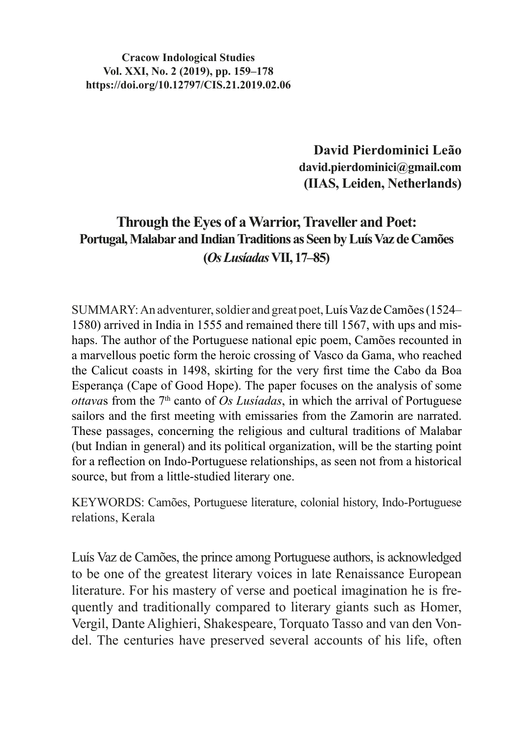**Cracow Indological Studies Vol. XXI, No. 2 (2019), pp. 159–178 https://doi.org/10.12797/CIS.21.2019.02.06**

> **David Pierdominici Leão david.pierdominici@gmail.com (IIAS, Leiden, Netherlands)**

# **Through the Eyes of a Warrior, Traveller and Poet: Portugal, Malabar and Indian Traditions as Seen by Luís Vaz de Camões (***Os Lusíadas* **VII, 17–85)**

SUMMARY:An adventurer, soldier and great poet, Luís Vaz de Camões (1524– 1580) arrived in India in 1555 and remained there till 1567, with ups and mishaps. The author of the Portuguese national epic poem, Camões recounted in a marvellous poetic form the heroic crossing of Vasco da Gama, who reached the Calicut coasts in 1498, skirting for the very first time the Cabo da Boa Esperança (Cape of Good Hope). The paper focuses on the analysis of some *ottava*s from the 7th canto of *Os Lusíadas*, in which the arrival of Portuguese sailors and the first meeting with emissaries from the Zamorin are narrated. These passages, concerning the religious and cultural traditions of Malabar (but Indian in general) and its political organization, will be the starting point for a reflection on Indo-Portuguese relationships, as seen not from a historical source, but from a little-studied literary one.

KEYWORDS: Camões, Portuguese literature, colonial history, Indo-Portuguese relations, Kerala

Luís Vaz de Camões, the prince among Portuguese authors, is acknowledged to be one of the greatest literary voices in late Renaissance European literature. For his mastery of verse and poetical imagination he is frequently and traditionally compared to literary giants such as Homer, Vergil, Dante Alighieri, Shakespeare, Torquato Tasso and van den Vondel. The centuries have preserved several accounts of his life, often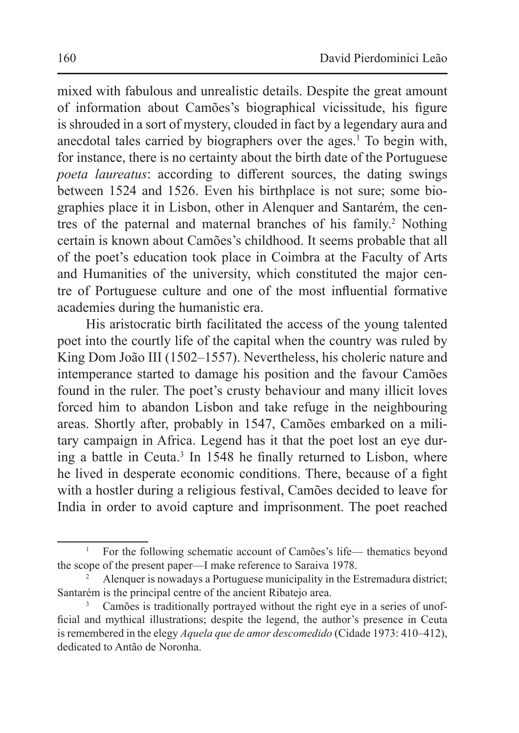mixed with fabulous and unrealistic details. Despite the great amount of information about Camões's biographical vicissitude, his figure is shrouded in a sort of mystery, clouded in fact by a legendary aura and anecdotal tales carried by biographers over the ages.<sup>1</sup> To begin with, for instance, there is no certainty about the birth date of the Portuguese *poeta laureatus*: according to different sources, the dating swings between 1524 and 1526. Even his birthplace is not sure; some biographies place it in Lisbon, other in Alenquer and Santarém, the centres of the paternal and maternal branches of his family.<sup>2</sup> Nothing certain is known about Camões's childhood. It seems probable that all of the poet's education took place in Coimbra at the Faculty of Arts and Humanities of the university, which constituted the major centre of Portuguese culture and one of the most influential formative academies during the humanistic era.

His aristocratic birth facilitated the access of the young talented poet into the courtly life of the capital when the country was ruled by King Dom João III (1502–1557). Nevertheless, his choleric nature and intemperance started to damage his position and the favour Camões found in the ruler. The poet's crusty behaviour and many illicit loves forced him to abandon Lisbon and take refuge in the neighbouring areas. Shortly after, probably in 1547, Camões embarked on a military campaign in Africa. Legend has it that the poet lost an eye during a battle in Ceuta.<sup>3</sup> In 1548 he finally returned to Lisbon, where he lived in desperate economic conditions. There, because of a fight with a hostler during a religious festival, Camões decided to leave for India in order to avoid capture and imprisonment. The poet reached

<sup>&</sup>lt;sup>1</sup> For the following schematic account of Camões's life— thematics beyond the scope of the present paper—I make reference to Saraiva 1978.

<sup>2</sup> Alenquer is nowadays a Portuguese municipality in the Estremadura district; Santarém is the principal centre of the ancient Ribatejo area.

Camões is traditionally portrayed without the right eye in a series of unofficial and mythical illustrations; despite the legend, the author's presence in Ceuta is remembered in the elegy *Aquela que de amor descomedido* (Cidade 1973: 410–412), dedicated to Antão de Noronha.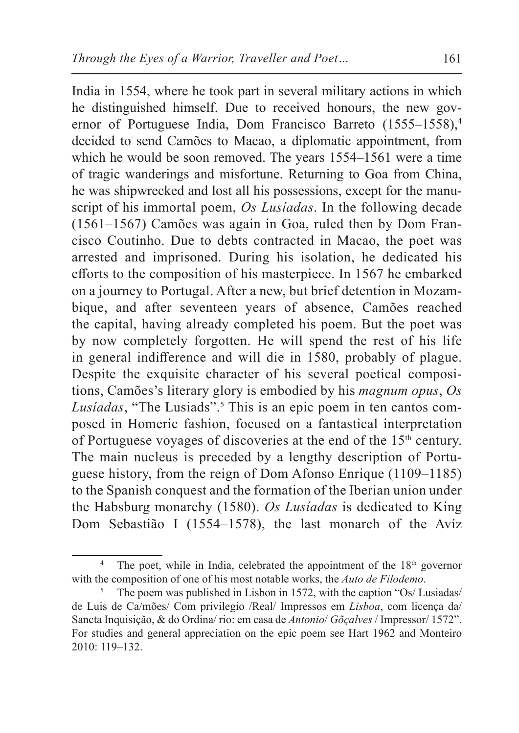India in 1554, where he took part in several military actions in which he distinguished himself. Due to received honours, the new governor of Portuguese India, Dom Francisco Barreto (1555–1558),<sup>4</sup> decided to send Camões to Macao, a diplomatic appointment, from which he would be soon removed. The years 1554–1561 were a time of tragic wanderings and misfortune. Returning to Goa from China, he was shipwrecked and lost all his possessions, except for the manuscript of his immortal poem, *Os Lusíadas*. In the following decade (1561–1567) Camões was again in Goa, ruled then by Dom Francisco Coutinho. Due to debts contracted in Macao, the poet was arrested and imprisoned. During his isolation, he dedicated his efforts to the composition of his masterpiece. In 1567 he embarked on a journey to Portugal. After a new, but brief detention in Mozambique, and after seventeen years of absence, Camões reached the capital, having already completed his poem. But the poet was by now completely forgotten. He will spend the rest of his life in general indifference and will die in 1580, probably of plague. Despite the exquisite character of his several poetical compositions, Camões's literary glory is embodied by his *magnum opus*, *Os*  Lusíadas, "The Lusiads".<sup>5</sup> This is an epic poem in ten cantos composed in Homeric fashion, focused on a fantastical interpretation of Portuguese voyages of discoveries at the end of the 15th century. The main nucleus is preceded by a lengthy description of Portuguese history, from the reign of Dom Afonso Enrique (1109–1185) to the Spanish conquest and the formation of the Iberian union under the Habsburg monarchy (1580). *Os Lusíadas* is dedicated to King Dom Sebastião I (1554–1578), the last monarch of the Avíz

<sup>&</sup>lt;sup>4</sup> The poet, while in India, celebrated the appointment of the  $18<sup>th</sup>$  governor with the composition of one of his most notable works, the *Auto de Filodemo*.

<sup>5</sup> The poem was published in Lisbon in 1572, with the caption "Os/ Lusiadas/ de Luis de Ca/mões/ Com privilegio /Real/ Impressos em *Lisboa*, com licença da/ Sancta Inquisição, & do Ordina/ rio: em casa de *Antonio*/ *Gõçalves* / Impressor/ 1572". For studies and general appreciation on the epic poem see Hart 1962 and Monteiro 2010: 119–132.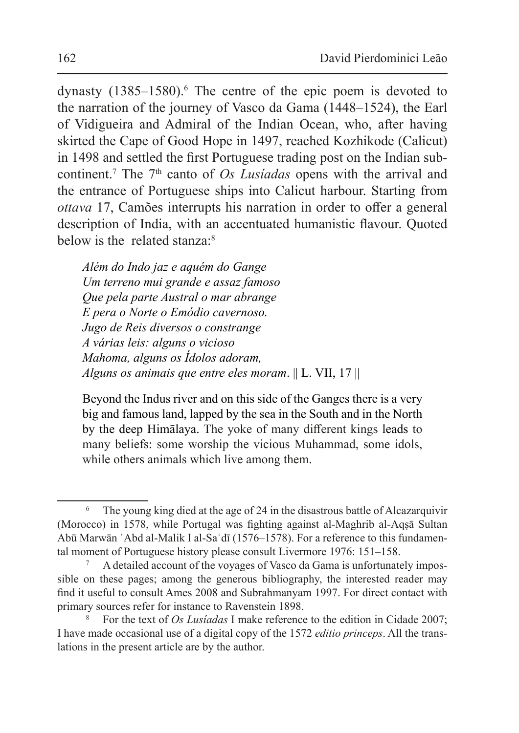dynasty  $(1385-1580)$ .<sup>6</sup> The centre of the epic poem is devoted to the narration of the journey of Vasco da Gama (1448–1524), the Earl of Vidigueira and Admiral of the Indian Ocean, who, after having skirted the Cape of Good Hope in 1497, reached Kozhikode (Calicut) in 1498 and settled the first Portuguese trading post on the Indian subcontinent.<sup>7</sup> The 7<sup>th</sup> canto of *Os Lusiadas* opens with the arrival and the entrance of Portuguese ships into Calicut harbour. Starting from *ottava* 17, Camões interrupts his narration in order to offer a general description of India, with an accentuated humanistic flavour. Quoted below is the related stanza:8

*Além do Indo jaz e aquém do Gange Um terreno mui grande e assaz famoso Que pela parte Austral o mar abrange E pera o Norte o Emódio cavernoso. Jugo de Reis diversos o constrange A várias leis: alguns o vicioso Mahoma, alguns os Ídolos adoram, Alguns os animais que entre eles moram*. || L. VII, 17 ||

Beyond the Indus river and on this side of the Ganges there is a very big and famous land, lapped by the sea in the South and in the North by the deep Himālaya. The yoke of many different kings leads to many beliefs: some worship the vicious Muhammad, some idols, while others animals which live among them.

The young king died at the age of 24 in the disastrous battle of Alcazarquivir (Morocco) in 1578, while Portugal was fighting against al-Maghrib al-Aqṣā Sultan Abū Marwān ʿAbd al-Malik I al-Saʿdī (1576–1578). For a reference to this fundamental moment of Portuguese history please consult Livermore 1976: 151–158.

<sup>7</sup> A detailed account of the voyages of Vasco da Gama is unfortunately impossible on these pages; among the generous bibliography, the interested reader may find it useful to consult Ames 2008 and Subrahmanyam 1997. For direct contact with primary sources refer for instance to Ravenstein 1898.

<sup>8</sup> For the text of *Os Lusíadas* I make reference to the edition in Cidade 2007; I have made occasional use of a digital copy of the 1572 *editio princeps*. All the translations in the present article are by the author.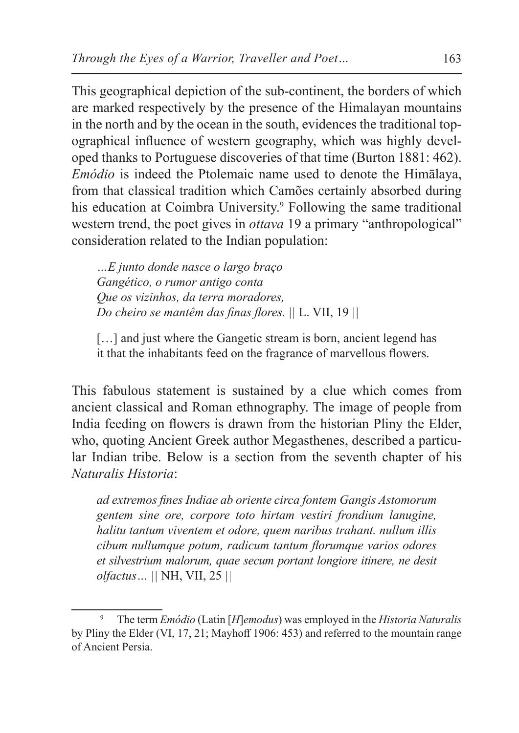This geographical depiction of the sub-continent, the borders of which are marked respectively by the presence of the Himalayan mountains in the north and by the ocean in the south, evidences the traditional topographical influence of western geography, which was highly developed thanks to Portuguese discoveries of that time (Burton 1881: 462). *Emódio* is indeed the Ptolemaic name used to denote the Himālaya, from that classical tradition which Camões certainly absorbed during his education at Coimbra University.<sup>9</sup> Following the same traditional western trend, the poet gives in *ottava* 19 a primary "anthropological" consideration related to the Indian population:

*…E junto donde nasce o largo braço Gangético, o rumor antigo conta Que os vizinhos, da terra moradores, Do cheiro se mantêm das finas flores. ||* L. VII, 19 *||*

[...] and just where the Gangetic stream is born, ancient legend has it that the inhabitants feed on the fragrance of marvellous flowers.

This fabulous statement is sustained by a clue which comes from ancient classical and Roman ethnography. The image of people from India feeding on flowers is drawn from the historian Pliny the Elder, who, quoting Ancient Greek author Megasthenes, described a particular Indian tribe. Below is a section from the seventh chapter of his *Naturalis Historia*:

*ad extremos fines Indiae ab oriente circa fontem Gangis Astomorum gentem sine ore, corpore toto hirtam vestiri frondium lanugine, halitu tantum viventem et odore, quem naribus trahant. nullum illis cibum nullumque potum, radicum tantum florumque varios odores et silvestrium malorum, quae secum portant longiore itinere, ne desit olfactus… ||* NH, VII, 25 *||*

<sup>9</sup> The term *Emódio* (Latin [*H*]*emodus*) was employed in the *Historia Naturalis* by Pliny the Elder (VI, 17, 21; Mayhoff 1906: 453) and referred to the mountain range of Ancient Persia.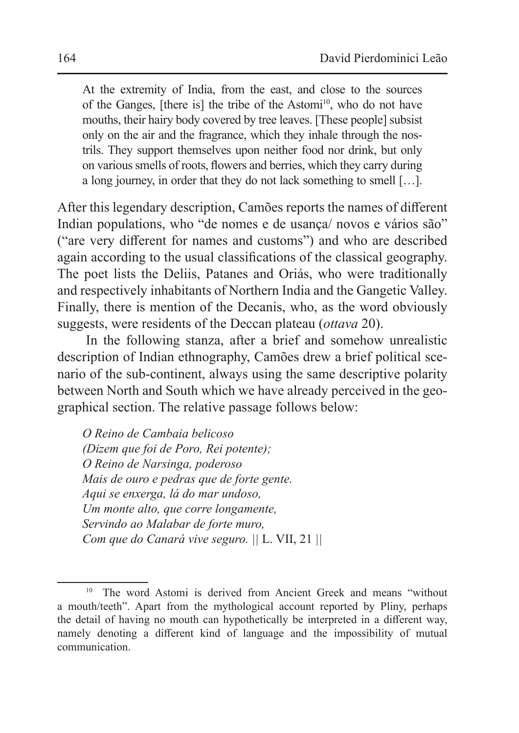At the extremity of India, from the east, and close to the sources of the Ganges, [there is] the tribe of the Astomi<sup>10</sup>, who do not have mouths, their hairy body covered by tree leaves. [These people] subsist only on the air and the fragrance, which they inhale through the nostrils. They support themselves upon neither food nor drink, but only on various smells of roots, flowers and berries, which they carry during a long journey, in order that they do not lack something to smell […].

After this legendary description, Camões reports the names of different Indian populations, who "de nomes e de usança/ novos e vários são" ("are very different for names and customs") and who are described again according to the usual classifications of the classical geography. The poet lists the Deliis, Patanes and Oriás, who were traditionally and respectively inhabitants of Northern India and the Gangetic Valley. Finally, there is mention of the Decanis, who, as the word obviously suggests, were residents of the Deccan plateau (*ottava* 20).

In the following stanza, after a brief and somehow unrealistic description of Indian ethnography, Camões drew a brief political scenario of the sub-continent, always using the same descriptive polarity between North and South which we have already perceived in the geographical section. The relative passage follows below:

*O Reino de Cambaia belicoso (Dizem que foi de Poro, Rei potente); O Reino de Narsinga, poderoso Mais de ouro e pedras que de forte gente. Aqui se enxerga, lá do mar undoso, Um monte alto, que corre longamente, Servindo ao Malabar de forte muro, Com que do Canará vive seguro. ||* L. VII, 21 *||*

<sup>&</sup>lt;sup>10</sup> The word Astomi is derived from Ancient Greek and means "without a mouth/teeth". Apart from the mythological account reported by Pliny, perhaps the detail of having no mouth can hypothetically be interpreted in a different way, namely denoting a different kind of language and the impossibility of mutual communication.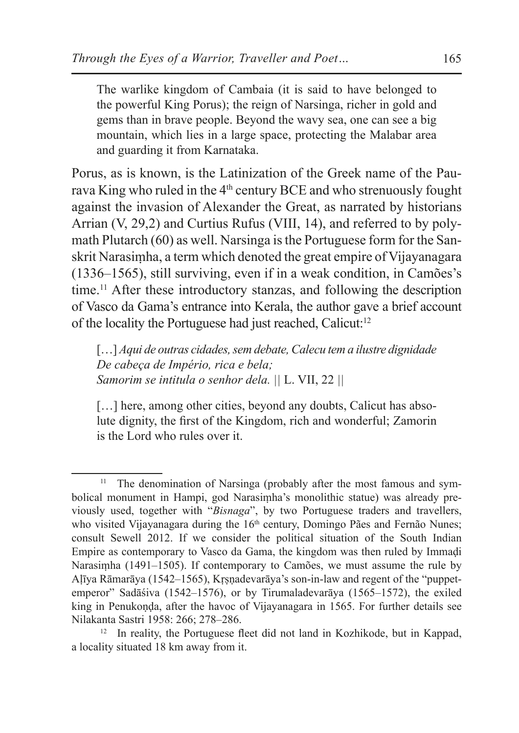The warlike kingdom of Cambaia (it is said to have belonged to the powerful King Porus); the reign of Narsinga, richer in gold and gems than in brave people. Beyond the wavy sea, one can see a big mountain, which lies in a large space, protecting the Malabar area and guarding it from Karnataka.

Porus, as is known, is the Latinization of the Greek name of the Paurava King who ruled in the 4th century BCE and who strenuously fought against the invasion of Alexander the Great, as narrated by historians Arrian (V, 29,2) and Curtius Rufus (VIII, 14), and referred to by polymath Plutarch (60) as well. Narsinga isthe Portuguese form for the Sanskrit Narasiṃha, a term which denoted the great empire of Vijayanagara (1336–1565), still surviving, even if in a weak condition, in Camões's time.11 After these introductory stanzas, and following the description of Vasco da Gama's entrance into Kerala, the author gave a brief account of the locality the Portuguese had just reached, Calicut:<sup>12</sup>

[…] *Aqui de outras cidades, sem debate, Calecu tem a ilustre dignidade De cabeça de Império, rica e bela; Samorim se intitula o senhor dela. ||* L. VII, 22 *||*

[...] here, among other cities, beyond any doubts, Calicut has absolute dignity, the first of the Kingdom, rich and wonderful; Zamorin is the Lord who rules over it.

<sup>&</sup>lt;sup>11</sup> The denomination of Narsinga (probably after the most famous and symbolical monument in Hampi, god Narasiṃha's monolithic statue) was already previously used, together with "*Bisnaga*", by two Portuguese traders and travellers, who visited Vijayanagara during the  $16<sup>th</sup>$  century, Domingo Pães and Fernão Nunes; consult Sewell 2012. If we consider the political situation of the South Indian Empire as contemporary to Vasco da Gama, the kingdom was then ruled by Immaḍi Narasiṃha (1491–1505). If contemporary to Camões, we must assume the rule by Aḷīya Rāmarāya (1542–1565), Kṛṣṇadevarāya's son-in-law and regent of the "puppetemperor" Sadāśiva (1542–1576), or by Tirumaladevarāya (1565–1572), the exiled king in Penukoṇḍa, after the havoc of Vijayanagara in 1565. For further details see Nilakanta Sastri 1958: 266; 278–286.

<sup>&</sup>lt;sup>12</sup> In reality, the Portuguese fleet did not land in Kozhikode, but in Kappad, a locality situated 18 km away from it.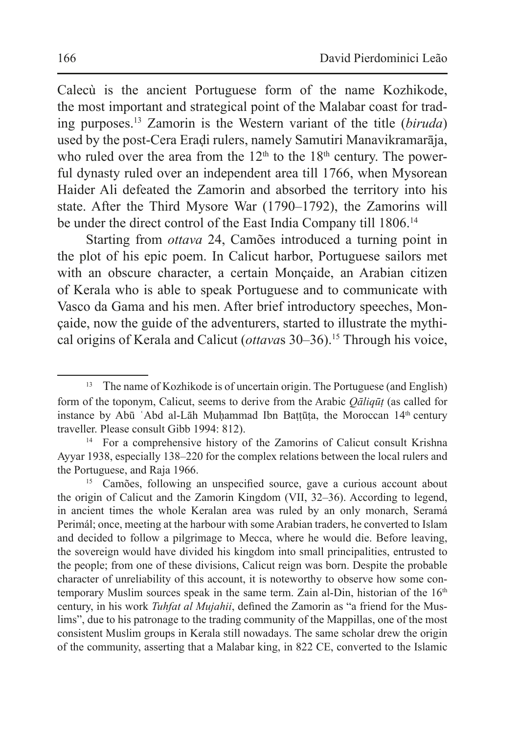Calecù is the ancient Portuguese form of the name Kozhikode, the most important and strategical point of the Malabar coast for trading purposes.<sup>13</sup> Zamorin is the Western variant of the title (*biruda*) used by the post-Cera Eraḍi rulers, namely Samutiri Manavikramarāja, who ruled over the area from the  $12<sup>th</sup>$  to the  $18<sup>th</sup>$  century. The powerful dynasty ruled over an independent area till 1766, when Mysorean Haider Ali defeated the Zamorin and absorbed the territory into his state. After the Third Mysore War (1790–1792), the Zamorins will be under the direct control of the East India Company till 1806.<sup>14</sup>

Starting from *ottava* 24, Camões introduced a turning point in the plot of his epic poem. In Calicut harbor, Portuguese sailors met with an obscure character, a certain Monçaide, an Arabian citizen of Kerala who is able to speak Portuguese and to communicate with Vasco da Gama and his men. After brief introductory speeches, Monçaide, now the guide of the adventurers, started to illustrate the mythical origins of Kerala and Calicut (*ottava*s 30–36).<sup>15</sup> Through his voice,

<sup>&</sup>lt;sup>13</sup> The name of Kozhikode is of uncertain origin. The Portuguese (and English) form of the toponym, Calicut, seems to derive from the Arabic *Qāliqūṭ* (as called for instance by Abū `Abd al-Lāh Muḥammad Ibn Baṭṭūṭa, the Moroccan 14<sup>th</sup> century traveller. Please consult Gibb 1994: 812).

<sup>&</sup>lt;sup>14</sup> For a comprehensive history of the Zamorins of Calicut consult Krishna Ayyar 1938, especially 138–220 for the complex relations between the local rulers and the Portuguese, and Raja 1966.

<sup>&</sup>lt;sup>15</sup> Camões, following an unspecified source, gave a curious account about the origin of Calicut and the Zamorin Kingdom (VII, 32–36). According to legend, in ancient times the whole Keralan area was ruled by an only monarch, Seramá Perimál; once, meeting at the harbour with some Arabian traders, he converted to Islam and decided to follow a pilgrimage to Mecca, where he would die. Before leaving, the sovereign would have divided his kingdom into small principalities, entrusted to the people; from one of these divisions, Calicut reign was born. Despite the probable character of unreliability of this account, it is noteworthy to observe how some contemporary Muslim sources speak in the same term. Zain al-Din, historian of the  $16<sup>th</sup>$ century, in his work *Tuhfat al Mujahii*, defined the Zamorin as "a friend for the Muslims", due to his patronage to the trading community of the Mappillas, one of the most consistent Muslim groups in Kerala still nowadays. The same scholar drew the origin of the community, asserting that a Malabar king, in 822 CE, converted to the Islamic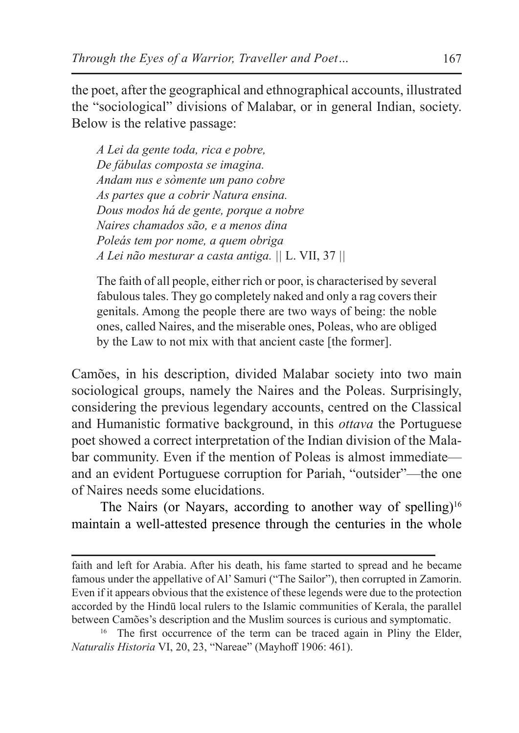the poet, after the geographical and ethnographical accounts, illustrated the "sociological" divisions of Malabar, or in general Indian, society. Below is the relative passage:

*A Lei da gente toda, rica e pobre, De fábulas composta se imagina. Andam nus e sòmente um pano cobre As partes que a cobrir Natura ensina. Dous modos há de gente, porque a nobre Naires chamados são, e a menos dina Poleás tem por nome, a quem obriga A Lei não mesturar a casta antiga. ||* L. VII, 37 *||*

The faith of all people, either rich or poor, is characterised by several fabulous tales. They go completely naked and only a rag covers their genitals. Among the people there are two ways of being: the noble ones, called Naires, and the miserable ones, Poleas, who are obliged by the Law to not mix with that ancient caste [the former].

Camões, in his description, divided Malabar society into two main sociological groups, namely the Naires and the Poleas. Surprisingly, considering the previous legendary accounts, centred on the Classical and Humanistic formative background, in this *ottava* the Portuguese poet showed a correct interpretation of the Indian division of the Malabar community. Even if the mention of Poleas is almost immediate and an evident Portuguese corruption for Pariah, "outsider"—the one of Naires needs some elucidations.

The Nairs (or Nayars, according to another way of spelling)<sup>16</sup> maintain a well-attested presence through the centuries in the whole

faith and left for Arabia. After his death, his fame started to spread and he became famous under the appellative of Al' Samuri ("The Sailor"), then corrupted in Zamorin. Even if it appears obvious that the existence of these legends were due to the protection accorded by the Hindū local rulers to the Islamic communities of Kerala, the parallel between Camões's description and the Muslim sources is curious and symptomatic.

<sup>&</sup>lt;sup>16</sup> The first occurrence of the term can be traced again in Pliny the Elder, *Naturalis Historia* VI, 20, 23, "Nareae" (Mayhoff 1906: 461).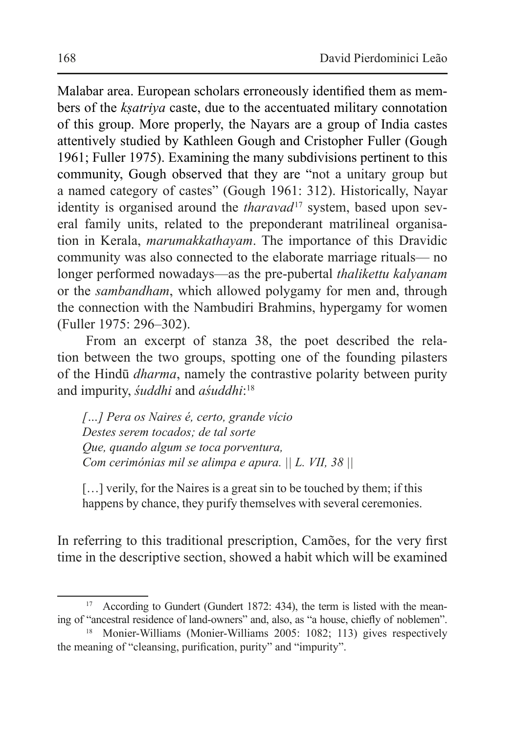Malabar area. European scholars erroneously identified them as members of the *kṣatriya* caste, due to the accentuated military connotation of this group. More properly, the Nayars are a group of India castes attentively studied by Kathleen Gough and Cristopher Fuller (Gough 1961; Fuller 1975). Examining the many subdivisions pertinent to this community, Gough observed that they are "not a unitary group but a named category of castes" (Gough 1961: 312). Historically, Nayar identity is organised around the *tharavad*<sup>17</sup> system, based upon several family units, related to the preponderant matrilineal organisation in Kerala, *marumakkathayam*. The importance of this Dravidic community was also connected to the elaborate marriage rituals— no longer performed nowadays—as the pre-pubertal *thalikettu kalyanam* or the *sambandham*, which allowed polygamy for men and, through the connection with the Nambudiri Brahmins, hypergamy for women (Fuller 1975: 296–302).

From an excerpt of stanza 38, the poet described the relation between the two groups, spotting one of the founding pilasters of the Hindū *dharma*, namely the contrastive polarity between purity and impurity, *śuddhi* and *aśuddhi*: 18

*[…] Pera os Naires é, certo, grande vício Destes serem tocados; de tal sorte Que, quando algum se toca porventura, Com cerimónias mil se alimpa e apura. || L. VII, 38 ||*

[...] verily, for the Naires is a great sin to be touched by them; if this happens by chance, they purify themselves with several ceremonies.

In referring to this traditional prescription, Camões, for the very first time in the descriptive section, showed a habit which will be examined

<sup>&</sup>lt;sup>17</sup> According to Gundert (Gundert 1872: 434), the term is listed with the meaning of "ancestral residence of land-owners" and, also, as "a house, chiefly of noblemen".

<sup>&</sup>lt;sup>18</sup> Monier-Williams (Monier-Williams 2005: 1082; 113) gives respectively the meaning of "cleansing, purification, purity" and "impurity".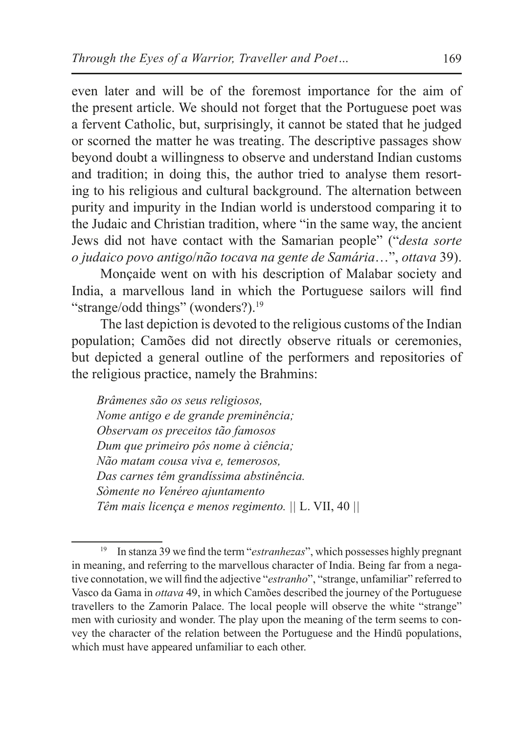even later and will be of the foremost importance for the aim of the present article. We should not forget that the Portuguese poet was a fervent Catholic, but, surprisingly, it cannot be stated that he judged or scorned the matter he was treating. The descriptive passages show beyond doubt a willingness to observe and understand Indian customs and tradition; in doing this, the author tried to analyse them resorting to his religious and cultural background. The alternation between purity and impurity in the Indian world is understood comparing it to the Judaic and Christian tradition, where "in the same way, the ancient Jews did not have contact with the Samarian people" ("*desta sorte o judaico povo antigo*/*não tocava na gente de Samária*…", *ottava* 39).

Monçaide went on with his description of Malabar society and India, a marvellous land in which the Portuguese sailors will find "strange/odd things" (wonders?).<sup>19</sup>

The last depiction is devoted to the religious customs of the Indian population; Camões did not directly observe rituals or ceremonies, but depicted a general outline of the performers and repositories of the religious practice, namely the Brahmins:

*Brâmenes são os seus religiosos, Nome antigo e de grande preminência; Observam os preceitos tão famosos Dum que primeiro pôs nome à ciência; Não matam cousa viva e, temerosos, Das carnes têm grandíssima abstinência. Sòmente no Venéreo ajuntamento Têm mais licença e menos regimento. ||* L. VII, 40 *||*

<sup>19</sup> In stanza 39 we find the term "*estranhezas*", which possesses highly pregnant in meaning, and referring to the marvellous character of India. Being far from a negative connotation, we will find the adjective "*estranho*", "strange, unfamiliar" referred to Vasco da Gama in *ottava* 49, in which Camões described the journey of the Portuguese travellers to the Zamorin Palace. The local people will observe the white "strange" men with curiosity and wonder. The play upon the meaning of the term seems to convey the character of the relation between the Portuguese and the Hindū populations, which must have appeared unfamiliar to each other.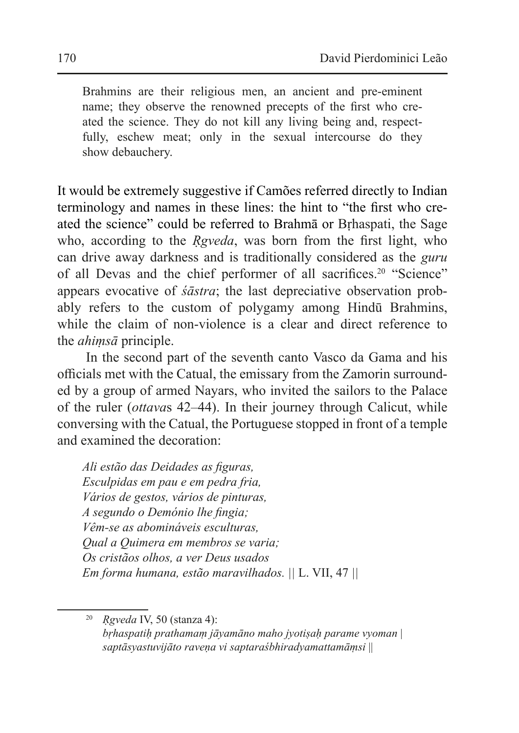Brahmins are their religious men, an ancient and pre-eminent name; they observe the renowned precepts of the first who created the science. They do not kill any living being and, respectfully, eschew meat; only in the sexual intercourse do they show debauchery.

It would be extremely suggestive if Camões referred directly to Indian terminology and names in these lines: the hint to "the first who created the science" could be referred to Brahmā or Bṛhaspati, the Sage who, according to the *Rgveda*, was born from the first light, who can drive away darkness and is traditionally considered as the *guru* of all Devas and the chief performer of all sacrifices.<sup>20</sup> "Science" appears evocative of *śāstra*; the last depreciative observation probably refers to the custom of polygamy among Hindū Brahmins, while the claim of non-violence is a clear and direct reference to the *ahiṃsā* principle.

In the second part of the seventh canto Vasco da Gama and his officials met with the Catual, the emissary from the Zamorin surrounded by a group of armed Nayars, who invited the sailors to the Palace of the ruler (*ottava*s 42–44). In their journey through Calicut, while conversing with the Catual, the Portuguese stopped in front of a temple and examined the decoration:

*Ali estão das Deidades as figuras, Esculpidas em pau e em pedra fria, Vários de gestos, vários de pinturas, A segundo o Demónio lhe fingia; Vêm-se as abomináveis esculturas, Qual a Quimera em membros se varia; Os cristãos olhos, a ver Deus usados Em forma humana, estão maravilhados. ||* L. VII, 47 *||*

<sup>20</sup> *Ṛgveda* IV, 50 (stanza 4): *bṛhaspatiḥ prathamaṃ jāyamāno maho jyotiṣaḥ parame vyoman* | *saptāsyastuvijāto raveṇa vi saptaraśbhiradyamattamāṃsi* ||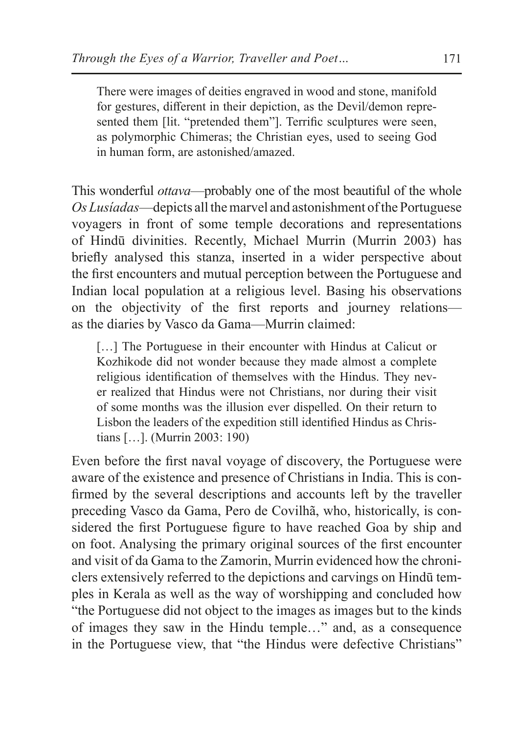There were images of deities engraved in wood and stone, manifold for gestures, different in their depiction, as the Devil/demon represented them [lit. "pretended them"]. Terrific sculptures were seen, as polymorphic Chimeras; the Christian eyes, used to seeing God in human form, are astonished/amazed.

This wonderful *ottava*—probably one of the most beautiful of the whole *Os Lusíadas*—depicts all themarvel and astonishment of the Portuguese voyagers in front of some temple decorations and representations of Hindū divinities. Recently, Michael Murrin (Murrin 2003) has briefly analysed this stanza, inserted in a wider perspective about the first encounters and mutual perception between the Portuguese and Indian local population at a religious level. Basing his observations on the objectivity of the first reports and journey relations as the diaries by Vasco da Gama—Murrin claimed:

[...] The Portuguese in their encounter with Hindus at Calicut or Kozhikode did not wonder because they made almost a complete religious identification of themselves with the Hindus. They never realized that Hindus were not Christians, nor during their visit of some months was the illusion ever dispelled. On their return to Lisbon the leaders of the expedition still identified Hindus as Christians […]. (Murrin 2003: 190)

Even before the first naval voyage of discovery, the Portuguese were aware of the existence and presence of Christians in India. This is confirmed by the several descriptions and accounts left by the traveller preceding Vasco da Gama, Pero de Covilhã, who, historically, is considered the first Portuguese figure to have reached Goa by ship and on foot. Analysing the primary original sources of the first encounter and visit of da Gama to the Zamorin, Murrin evidenced how the chroniclers extensively referred to the depictions and carvings on Hindū temples in Kerala as well as the way of worshipping and concluded how "the Portuguese did not object to the images as images but to the kinds of images they saw in the Hindu temple…" and, as a consequence in the Portuguese view, that "the Hindus were defective Christians"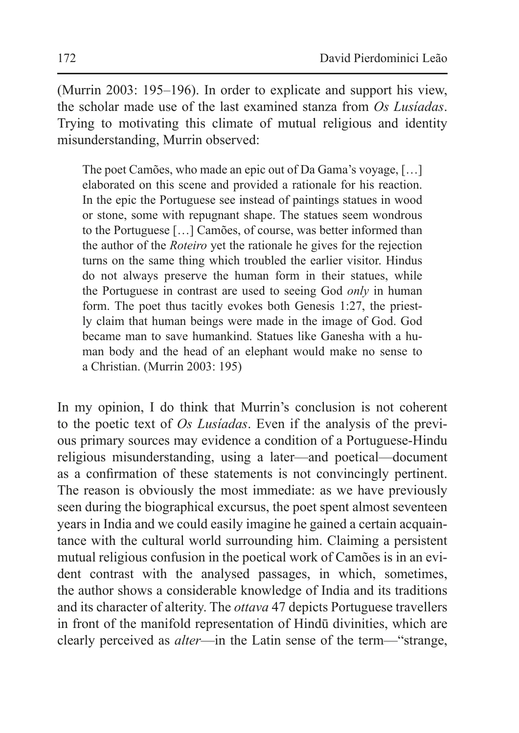(Murrin 2003: 195–196). In order to explicate and support his view, the scholar made use of the last examined stanza from *Os Lusíadas*. Trying to motivating this climate of mutual religious and identity misunderstanding, Murrin observed:

The poet Camões, who made an epic out of Da Gama's voyage, […] elaborated on this scene and provided a rationale for his reaction. In the epic the Portuguese see instead of paintings statues in wood or stone, some with repugnant shape. The statues seem wondrous to the Portuguese […] Camões, of course, was better informed than the author of the *Roteiro* yet the rationale he gives for the rejection turns on the same thing which troubled the earlier visitor. Hindus do not always preserve the human form in their statues, while the Portuguese in contrast are used to seeing God *only* in human form. The poet thus tacitly evokes both Genesis 1:27, the priestly claim that human beings were made in the image of God. God became man to save humankind. Statues like Ganesha with a human body and the head of an elephant would make no sense to a Christian. (Murrin 2003: 195)

In my opinion, I do think that Murrin's conclusion is not coherent to the poetic text of *Os Lusíadas*. Even if the analysis of the previous primary sources may evidence a condition of a Portuguese-Hindu religious misunderstanding, using a later—and poetical—document as a confirmation of these statements is not convincingly pertinent. The reason is obviously the most immediate: as we have previously seen during the biographical excursus, the poet spent almost seventeen years in India and we could easily imagine he gained a certain acquaintance with the cultural world surrounding him. Claiming a persistent mutual religious confusion in the poetical work of Camões is in an evident contrast with the analysed passages, in which, sometimes, the author shows a considerable knowledge of India and its traditions and its character of alterity. The *ottava* 47 depicts Portuguese travellers in front of the manifold representation of Hindū divinities, which are clearly perceived as *alter*—in the Latin sense of the term—"strange,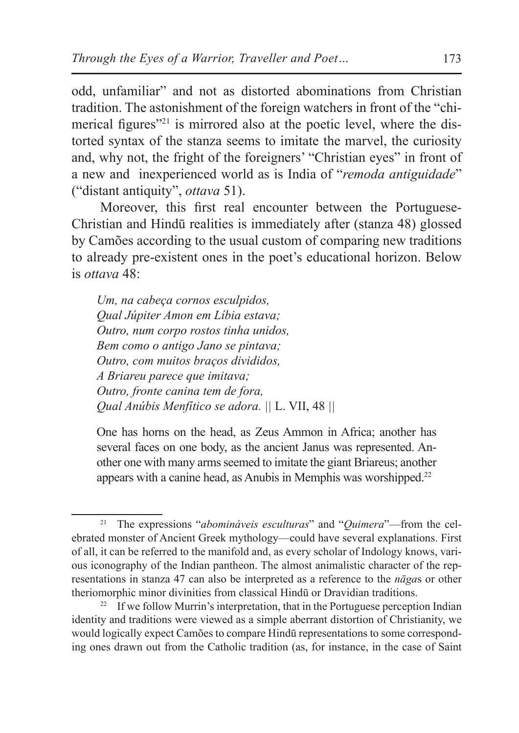odd, unfamiliar" and not as distorted abominations from Christian tradition. The astonishment of the foreign watchers in front of the "chimerical figures<sup>"21</sup> is mirrored also at the poetic level, where the distorted syntax of the stanza seems to imitate the marvel, the curiosity and, why not, the fright of the foreigners' "Christian eyes" in front of a new and inexperienced world as is India of "*remoda antiguidade*" ("distant antiquity", *ottava* 51).

Moreover, this first real encounter between the Portuguese-Christian and Hindū realities is immediately after (stanza 48) glossed by Camões according to the usual custom of comparing new traditions to already pre-existent ones in the poet's educational horizon. Below is *ottava* 48:

*Um, na cabeça cornos esculpidos, Qual Júpiter Amon em Líbia estava; Outro, num corpo rostos tinha unidos, Bem como o antigo Jano se pintava; Outro, com muitos braços divididos, A Briareu parece que imitava; Outro, fronte canina tem de fora, Qual Anúbis Menfítico se adora. ||* L. VII, 48 *||*

One has horns on the head, as Zeus Ammon in Africa; another has several faces on one body, as the ancient Janus was represented. Another one with many arms seemed to imitate the giant Briareus; another appears with a canine head, as Anubis in Memphis was worshipped.<sup>22</sup>

<sup>21</sup> The expressions "*abomináveis esculturas*" and "*Quimera*"—from the celebrated monster of Ancient Greek mythology—could have several explanations. First of all, it can be referred to the manifold and, as every scholar of Indology knows, various iconography of the Indian pantheon. The almost animalistic character of the representations in stanza 47 can also be interpreted as a reference to the *nāga*s or other theriomorphic minor divinities from classical Hindū or Dravidian traditions.

<sup>&</sup>lt;sup>22</sup> If we follow Murrin's interpretation, that in the Portuguese perception Indian identity and traditions were viewed as a simple aberrant distortion of Christianity, we would logically expect Camões to compare Hindū representations to some corresponding ones drawn out from the Catholic tradition (as, for instance, in the case of Saint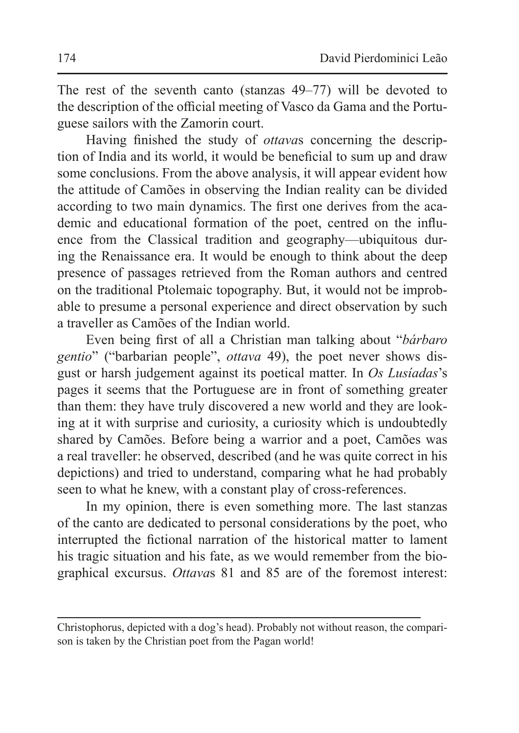The rest of the seventh canto (stanzas 49–77) will be devoted to the description of the official meeting of Vasco da Gama and the Portuguese sailors with the Zamorin court.

Having finished the study of *ottava*s concerning the description of India and its world, it would be beneficial to sum up and draw some conclusions. From the above analysis, it will appear evident how the attitude of Camões in observing the Indian reality can be divided according to two main dynamics. The first one derives from the academic and educational formation of the poet, centred on the influence from the Classical tradition and geography—ubiquitous during the Renaissance era. It would be enough to think about the deep presence of passages retrieved from the Roman authors and centred on the traditional Ptolemaic topography. But, it would not be improbable to presume a personal experience and direct observation by such a traveller as Camões of the Indian world.

Even being first of all a Christian man talking about "*bárbaro gentio*" ("barbarian people", *ottava* 49), the poet never shows disgust or harsh judgement against its poetical matter. In *Os Lusíadas*'s pages it seems that the Portuguese are in front of something greater than them: they have truly discovered a new world and they are looking at it with surprise and curiosity, a curiosity which is undoubtedly shared by Camões. Before being a warrior and a poet, Camões was a real traveller: he observed, described (and he was quite correct in his depictions) and tried to understand, comparing what he had probably seen to what he knew, with a constant play of cross-references.

In my opinion, there is even something more. The last stanzas of the canto are dedicated to personal considerations by the poet, who interrupted the fictional narration of the historical matter to lament his tragic situation and his fate, as we would remember from the biographical excursus. *Ottava*s 81 and 85 are of the foremost interest:

Christophorus, depicted with a dog's head). Probably not without reason, the comparison is taken by the Christian poet from the Pagan world!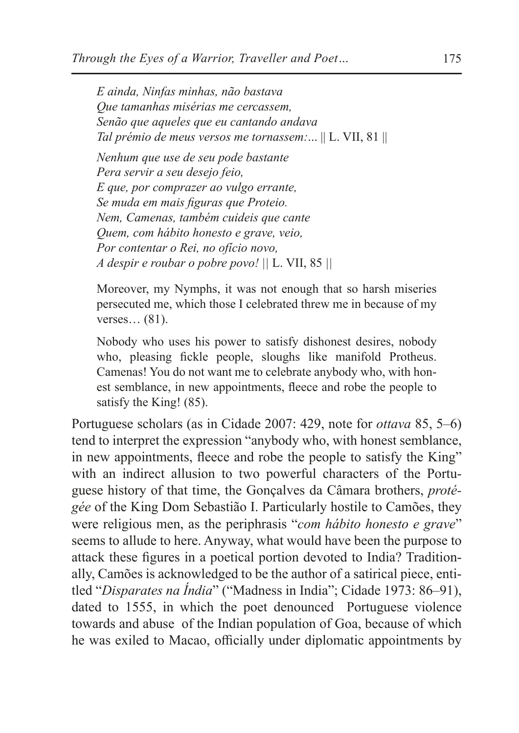*E ainda, Ninfas minhas, não bastava Que tamanhas misérias me cercassem, Senão que aqueles que eu cantando andava Tal prémio de meus versos me tornassem:*... || L. VII, 81 ||

*Nenhum que use de seu pode bastante Pera servir a seu desejo feio, E que, por comprazer ao vulgo errante, Se muda em mais figuras que Proteio. Nem, Camenas, também cuideis que cante Quem, com hábito honesto e grave, veio, Por contentar o Rei, no ofício novo, A despir e roubar o pobre povo! ||* L. VII, 85 *||*

Moreover, my Nymphs, it was not enough that so harsh miseries persecuted me, which those I celebrated threw me in because of my verses… (81).

Nobody who uses his power to satisfy dishonest desires, nobody who, pleasing fickle people, sloughs like manifold Protheus. Camenas! You do not want me to celebrate anybody who, with honest semblance, in new appointments, fleece and robe the people to satisfy the King! (85).

Portuguese scholars (as in Cidade 2007: 429, note for *ottava* 85, 5–6) tend to interpret the expression "anybody who, with honest semblance, in new appointments, fleece and robe the people to satisfy the King" with an indirect allusion to two powerful characters of the Portuguese history of that time, the Gonçalves da Câmara brothers, *protégée* of the King Dom Sebastião I. Particularly hostile to Camões, they were religious men, as the periphrasis "*com hábito honesto e grave*" seems to allude to here. Anyway, what would have been the purpose to attack these figures in a poetical portion devoted to India? Traditionally, Camões is acknowledged to be the author of a satirical piece, entitled "*Disparates na Índia*" ("Madness in India"; Cidade 1973: 86–91), dated to 1555, in which the poet denounced Portuguese violence towards and abuse of the Indian population of Goa, because of which he was exiled to Macao, officially under diplomatic appointments by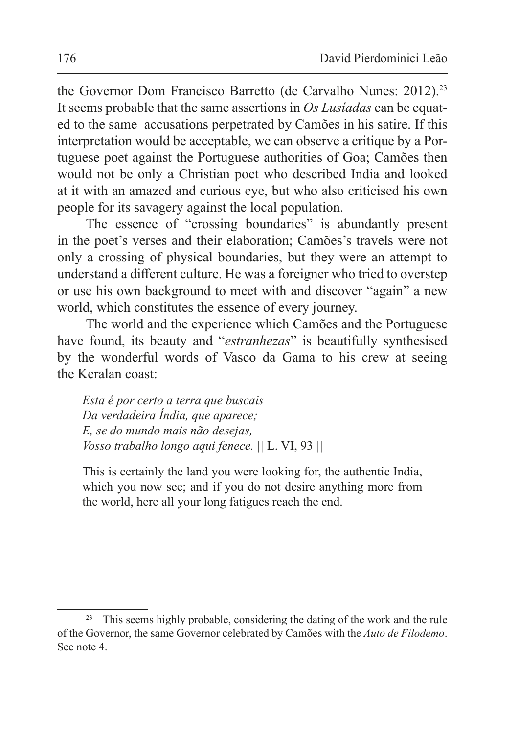the Governor Dom Francisco Barretto (de Carvalho Nunes: 2012).<sup>23</sup> It seems probable that the same assertions in *Os Lusíadas* can be equated to the same accusations perpetrated by Camões in his satire. If this interpretation would be acceptable, we can observe a critique by a Portuguese poet against the Portuguese authorities of Goa; Camões then would not be only a Christian poet who described India and looked at it with an amazed and curious eye, but who also criticised his own people for its savagery against the local population.

The essence of "crossing boundaries" is abundantly present in the poet's verses and their elaboration; Camões's travels were not only a crossing of physical boundaries, but they were an attempt to understand a different culture. He was a foreigner who tried to overstep or use his own background to meet with and discover "again" a new world, which constitutes the essence of every journey.

The world and the experience which Camões and the Portuguese have found, its beauty and "*estranhezas*" is beautifully synthesised by the wonderful words of Vasco da Gama to his crew at seeing the Keralan coast:

*Esta é por certo a terra que buscais Da verdadeira Índia, que aparece; E, se do mundo mais não desejas, Vosso trabalho longo aqui fenece. ||* L. VI, 93 *||*

This is certainly the land you were looking for, the authentic India, which you now see; and if you do not desire anything more from the world, here all your long fatigues reach the end.

<sup>&</sup>lt;sup>23</sup> This seems highly probable, considering the dating of the work and the rule of the Governor, the same Governor celebrated by Camões with the *Auto de Filodemo*. See note 4.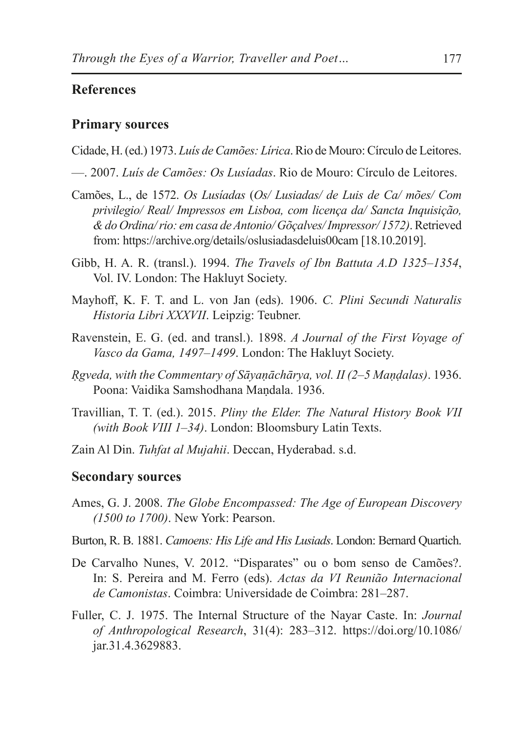## **References**

#### **Primary sources**

- Cidade, H. (ed.) 1973. *Luís de Camões: Lírica*. Rio de Mouro: Círculo de Leitores.
- —. 2007. *Luís de Camões: Os Lusíadas*. Rio de Mouro: Círculo de Leitores.
- Camões, L., de 1572. *Os Lusíadas* (*Os/ Lusiadas/ de Luis de Ca/ mões/ Com privilegio/ Real/ Impressos em Lisboa, com licença da/ Sancta Inquisição, & do Ordina/ rio: em casa de Antonio/ Gõçalves/ Impressor/ 1572)*.Retrieved from: https://archive.org/details/oslusiadasdeluis00cam [18.10.2019].
- Gibb, H. A. R. (transl.). 1994. *The Travels of Ibn Battuta A.D 1325–1354*, Vol. IV. London: The Hakluyt Society.
- Mayhoff, K. F. T. and L. von Jan (eds). 1906. *C. Plini Secundi Naturalis Historia Libri XXXVII*. Leipzig: Teubner.
- Ravenstein, E. G. (ed. and transl.). 1898. *A Journal of the First Voyage of Vasco da Gama, 1497–1499*. London: The Hakluyt Society.
- *Ṛgveda, with the Commentary of Sāyaṇāchārya, vol. II (2–5 Maṇḍalas)*. 1936. Poona: Vaidika Samshodhana Maṇdala. 1936.
- Travillian, T. T. (ed.). 2015. *Pliny the Elder. The Natural History Book VII (with Book VIII 1–34)*. London: Bloomsbury Latin Texts.
- Zain Al Din. *Tuhfat al Mujahii*. Deccan, Hyderabad. s.d.

#### **Secondary sources**

- Ames, G. J. 2008. *The Globe Encompassed: The Age of European Discovery (1500 to 1700)*. New York: Pearson.
- Burton, R. B. 1881. *Camoens: His Life and His Lusiads*. London: Bernard Quartich.
- De Carvalho Nunes, V. 2012. "Disparates" ou o bom senso de Camões?. In: S. Pereira and M. Ferro (eds). *Actas da VI Reunião Internacional de Camonistas*. Coimbra: Universidade de Coimbra: 281–287.
- Fuller, C. J. 1975. The Internal Structure of the Nayar Caste. In: *Journal of Anthropological Research*, 31(4): 283–312. https://doi.org/10.1086/ jar.31.4.3629883.